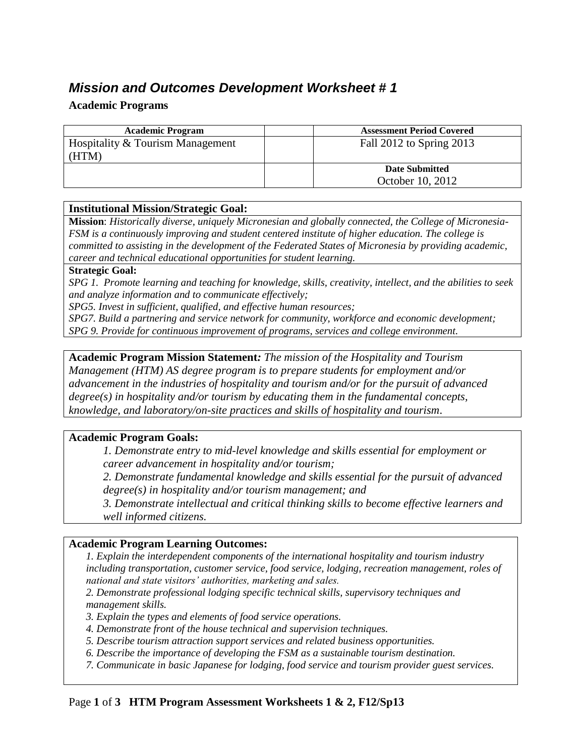## *Mission and Outcomes Development Worksheet # 1*

#### **Academic Programs**

| <b>Academic Program</b>                  | <b>Assessment Period Covered</b>          |
|------------------------------------------|-------------------------------------------|
| Hospitality & Tourism Management<br>(HTM | Fall 2012 to Spring 2013                  |
|                                          | <b>Date Submitted</b><br>October 10, 2012 |

#### **Institutional Mission/Strategic Goal:**

**Mission**: *Historically diverse, uniquely Micronesian and globally connected, the College of Micronesia-FSM is a continuously improving and student centered institute of higher education. The college is committed to assisting in the development of the Federated States of Micronesia by providing academic, career and technical educational opportunities for student learning.*

#### **Strategic Goal:**

*SPG 1. Promote learning and teaching for knowledge, skills, creativity, intellect, and the abilities to seek and analyze information and to communicate effectively;*

*SPG5. Invest in sufficient, qualified, and effective human resources;* 

*SPG7. Build a partnering and service network for community, workforce and economic development; SPG 9. Provide for continuous improvement of programs, services and college environment.*

**Academic Program Mission Statement***: The mission of the Hospitality and Tourism Management (HTM) AS degree program is to prepare students for employment and/or advancement in the industries of hospitality and tourism and/or for the pursuit of advanced degree(s) in hospitality and/or tourism by educating them in the fundamental concepts, knowledge, and laboratory/on-site practices and skills of hospitality and tourism*.

#### **Academic Program Goals:**

*1. Demonstrate entry to mid-level knowledge and skills essential for employment or career advancement in hospitality and/or tourism;*

*2. Demonstrate fundamental knowledge and skills essential for the pursuit of advanced degree(s) in hospitality and/or tourism management; and* 

*3. Demonstrate intellectual and critical thinking skills to become effective learners and well informed citizens.*

#### **Academic Program Learning Outcomes:**

*1. Explain the interdependent components of the international hospitality and tourism industry including transportation, customer service, food service, lodging, recreation management, roles of national and state visitors' authorities, marketing and sales.*

*2. Demonstrate professional lodging specific technical skills, supervisory techniques and management skills.*

- *3. Explain the types and elements of food service operations.*
- *4. Demonstrate front of the house technical and supervision techniques.*
- *5. Describe tourism attraction support services and related business opportunities.*
- *6. Describe the importance of developing the FSM as a sustainable tourism destination.*
- *7. Communicate in basic Japanese for lodging, food service and tourism provider guest services.*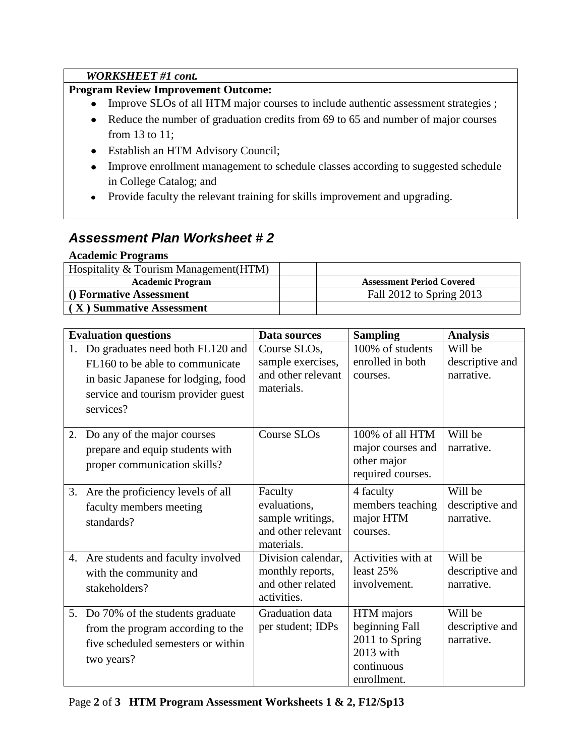### *WORKSHEET #1 cont.*

## **Program Review Improvement Outcome:**

- Improve SLOs of all HTM major courses to include authentic assessment strategies ;  $\bullet$
- Reduce the number of graduation credits from 69 to 65 and number of major courses  $\bullet$ from 13 to 11;
- Establish an HTM Advisory Council;
- Improve enrollment management to schedule classes according to suggested schedule  $\bullet$ in College Catalog; and
- Provide faculty the relevant training for skills improvement and upgrading.

# *Assessment Plan Worksheet # 2*

## **Academic Programs**

| Hospitality & Tourism Management (HTM) |                                  |
|----------------------------------------|----------------------------------|
| <b>Academic Program</b>                | <b>Assessment Period Covered</b> |
| (c) Formative Assessment               | Fall 2012 to Spring 2013         |
| (X) Summative Assessment               |                                  |

|    | <b>Evaluation questions</b>                                                                                                                                   | Data sources                                                                    | <b>Sampling</b>                                                                            | <b>Analysis</b>                          |
|----|---------------------------------------------------------------------------------------------------------------------------------------------------------------|---------------------------------------------------------------------------------|--------------------------------------------------------------------------------------------|------------------------------------------|
| 1. | Do graduates need both FL120 and<br>FL160 to be able to communicate<br>in basic Japanese for lodging, food<br>service and tourism provider guest<br>services? | Course SLOs,<br>sample exercises,<br>and other relevant<br>materials.           | 100% of students<br>enrolled in both<br>courses.                                           | Will be<br>descriptive and<br>narrative. |
| 2. | Do any of the major courses<br>prepare and equip students with<br>proper communication skills?                                                                | Course SLOs                                                                     | 100% of all HTM<br>major courses and<br>other major<br>required courses.                   | Will be<br>narrative.                    |
| 3. | Are the proficiency levels of all<br>faculty members meeting<br>standards?                                                                                    | Faculty<br>evaluations,<br>sample writings,<br>and other relevant<br>materials. | 4 faculty<br>members teaching<br>major HTM<br>courses.                                     | Will be<br>descriptive and<br>narrative. |
| 4. | Are students and faculty involved<br>with the community and<br>stakeholders?                                                                                  | Division calendar,<br>monthly reports,<br>and other related<br>activities.      | Activities with at<br>least 25%<br>involvement.                                            | Will be<br>descriptive and<br>narrative. |
| 5. | Do 70% of the students graduate<br>from the program according to the<br>five scheduled semesters or within<br>two years?                                      | Graduation data<br>per student; IDPs                                            | HTM majors<br>beginning Fall<br>2011 to Spring<br>$2013$ with<br>continuous<br>enrollment. | Will be<br>descriptive and<br>narrative. |